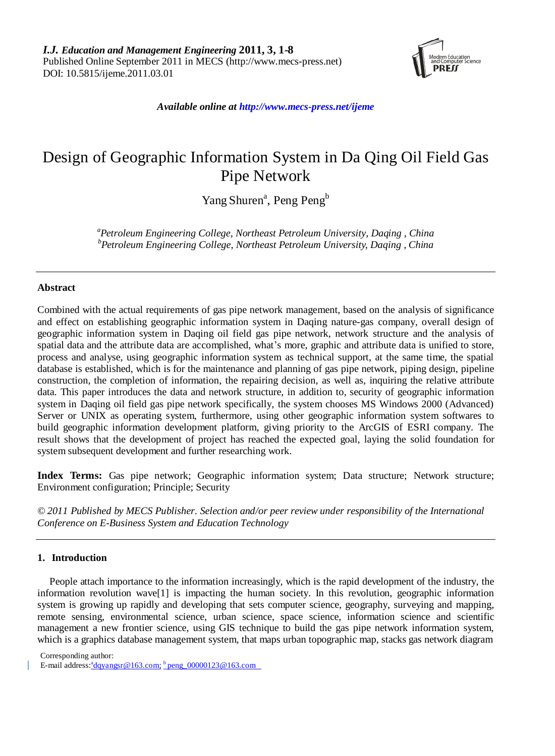

*Available online at http://www.mecs-press.net/ijeme*

# Design of Geographic Information System in Da Qing Oil Field Gas Pipe Network

Yang Shuren<sup>a</sup>, Peng Peng<sup>b</sup>

*a Petroleum Engineering College, Northeast Petroleum University, Daqing , China b Petroleum Engineering College, Northeast Petroleum University, Daqing , China*

# **Abstract**

Combined with the actual requirements of gas pipe network management, based on the analysis of significance and effect on establishing geographic information system in Daqing nature-gas company, overall design of geographic information system in Daqing oil field gas pipe network, network structure and the analysis of spatial data and the attribute data are accomplished, what's more, graphic and attribute data is unified to store, process and analyse, using geographic information system as technical support, at the same time, the spatial database is established, which is for the maintenance and planning of gas pipe network, piping design, pipeline construction, the completion of information, the repairing decision, as well as, inquiring the relative attribute data. This paper introduces the data and network structure, in addition to, security of geographic information system in Daqing oil field gas pipe network specifically, the system chooses MS Windows 2000 (Advanced) Server or UNIX as operating system, furthermore, using other geographic information system softwares to build geographic information development platform, giving priority to the ArcGIS of ESRI company. The result shows that the development of project has reached the expected goal, laying the solid foundation for system subsequent development and further researching work.

**Index Terms:** Gas pipe network; Geographic information system; Data structure; Network structure; Environment configuration; Principle; Security

*© 2011 Published by MECS Publisher. Selection and/or peer review under responsibility of the International Conference on E-Business System and Education Technology*

# **1. Introduction**

People attach importance to the information increasingly, which is the rapid development of the industry, the information revolution wave[1] is impacting the human society. In this revolution, geographic information system is growing up rapidly and developing that sets computer science, geography, surveying and mapping, remote sensing, environmental science, urban science, space science, information science and scientific management a new frontier science, using GIS technique to build the gas pipe network information system, which is a graphics database management system, that maps urban topographic map, stacks gas network diagram

Corresponding author:

E-mail address: <sup>a</sup>dqyangsr@163.com; bpeng\_00000123@163.com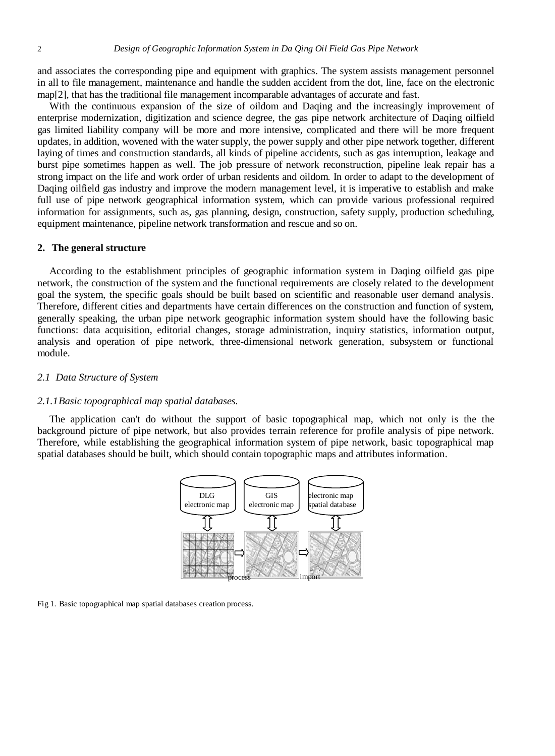and associates the corresponding pipe and equipment with graphics. The system assists management personnel in all to file management, maintenance and handle the sudden accident from the dot, line, face on the electronic map[2], that has the traditional file management incomparable advantages of accurate and fast.

With the continuous expansion of the size of oildom and Daqing and the increasingly improvement of enterprise modernization, digitization and science degree, the gas pipe network architecture of Daqing oilfield gas limited liability company will be more and more intensive, complicated and there will be more frequent updates, in addition, wovened with the water supply, the power supply and other pipe network together, different laying of times and construction standards, all kinds of pipeline accidents, such as gas interruption, leakage and burst pipe sometimes happen as well. The job pressure of network reconstruction, pipeline leak repair has a strong impact on the life and work order of urban residents and oildom. In order to adapt to the development of Daqing oilfield gas industry and improve the modern management level, it is imperative to establish and make full use of pipe network geographical information system, which can provide various professional required information for assignments, such as, gas planning, design, construction, safety supply, production scheduling, equipment maintenance, pipeline network transformation and rescue and so on.

# **2. The general structure**

According to the establishment principles of geographic information system in Daqing oilfield gas pipe network, the construction of the system and the functional requirements are closely related to the development goal the system, the specific goals should be built based on scientific and reasonable user demand analysis. Therefore, different cities and departments have certain differences on the construction and function of system, generally speaking, the urban pipe network geographic information system should have the following basic functions: data acquisition, editorial changes, storage administration, inquiry statistics, information output, analysis and operation of pipe network, three-dimensional network generation, subsystem or functional module.

#### *2.1 Data Structure of System*

#### *2.1.1Basic topographical map spatial databases.*

The application can't do without the support of basic topographical map, which not only is the the background picture of pipe network, but also provides terrain reference for profile analysis of pipe network. Therefore, while establishing the geographical information system of pipe network, basic topographical map spatial databases should be built, which should contain topographic maps and attributes information.



Fig 1. Basic topographical map spatial databases creation process.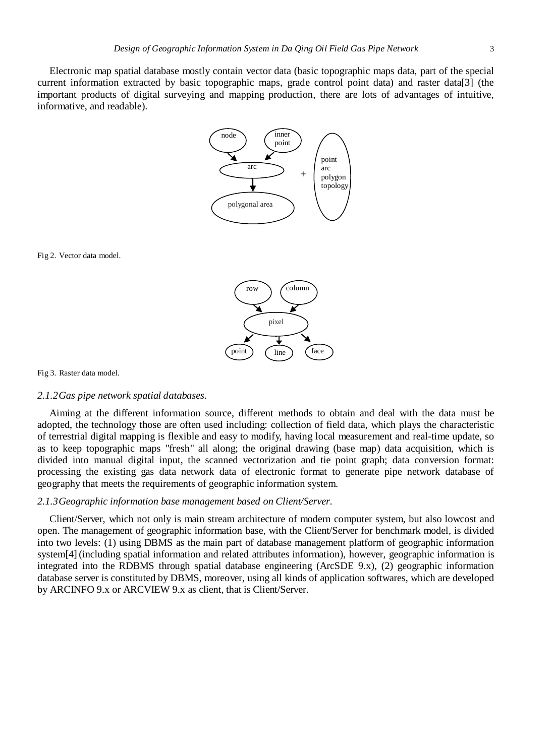Electronic map spatial database mostly contain vector data (basic topographic maps data, part of the special current information extracted by basic topographic maps, grade control point data) and raster data[3] (the important products of digital surveying and mapping production, there are lots of advantages of intuitive, informative, and readable).



Fig 2. Vector data model.



Fig 3. Raster data model.

# *2.1.2Gas pipe network spatial databases.*

Aiming at the different information source, different methods to obtain and deal with the data must be adopted, the technology those are often used including: collection of field data, which plays the characteristic of terrestrial digital mapping is flexible and easy to modify, having local measurement and real-time update, so as to keep topographic maps "fresh" all along; the original drawing (base map) data acquisition, which is divided into manual digital input, the scanned vectorization and tie point graph; data conversion format: processing the existing gas data network data of electronic format to generate pipe network database of geography that meets the requirements of geographic information system.

#### *2.1.3Geographic information base management based on Client/Server.*

Client/Server, which not only is main stream architecture of modern computer system, but also lowcost and open. The management of geographic information base, with the Client/Server for benchmark model, is divided into two levels: (1) using DBMS as the main part of database management platform of geographic information system[4] (including spatial information and related attributes information), however, geographic information is integrated into the RDBMS through spatial database engineering (ArcSDE 9.x), (2) geographic information database server is constituted by DBMS, moreover, using all kinds of application softwares, which are developed by ARCINFO 9.x or ARCVIEW 9.x as client, that is Client/Server.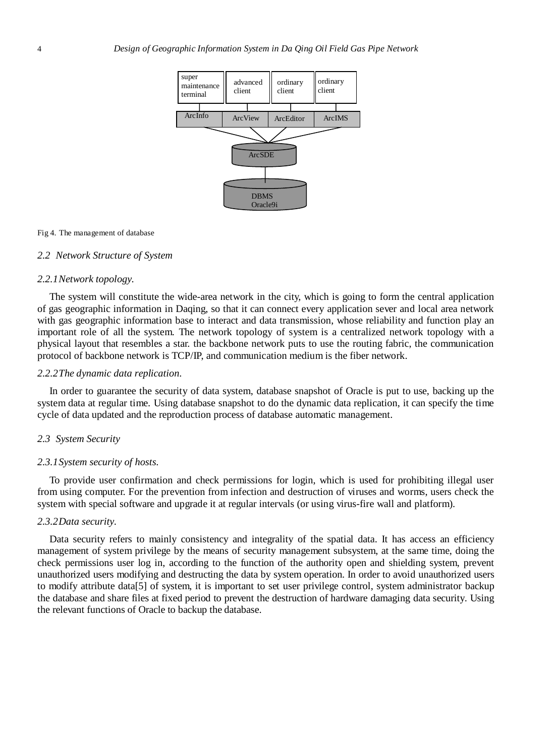

#### Fig 4. The management of database

## *2.2 Network Structure of System*

# *2.2.1Network topology.*

The system will constitute the wide-area network in the city, which is going to form the central application of gas geographic information in Daqing, so that it can connect every application sever and local area network with gas geographic information base to interact and data transmission, whose reliability and function play an important role of all the system. The network topology of system is a centralized network topology with a physical layout that resembles a star. the backbone network puts to use the routing fabric, the communication protocol of backbone network is TCP/IP, and communication medium is the fiber network.

# *2.2.2The dynamic data replication.*

In order to guarantee the security of data system, database snapshot of Oracle is put to use, backing up the system data at regular time. Using database snapshot to do the dynamic data replication, it can specify the time cycle of data updated and the reproduction process of database automatic management.

#### *2.3 System Security*

# *2.3.1System security of hosts.*

To provide user confirmation and check permissions for login, which is used for prohibiting illegal user from using computer. For the prevention from infection and destruction of viruses and worms, users check the system with special software and upgrade it at regular intervals (or using virus-fire wall and platform).

# *2.3.2Data security.*

Data security refers to mainly consistency and integrality of the spatial data. It has access an efficiency management of system privilege by the means of security management subsystem, at the same time, doing the check permissions user log in, according to the function of the authority open and shielding system, prevent unauthorized users modifying and destructing the data by system operation. In order to avoid unauthorized users to modify attribute data[5] of system, it is important to set user privilege control, system administrator backup the database and share files at fixed period to prevent the destruction of hardware damaging data security. Using the relevant functions of Oracle to backup the database.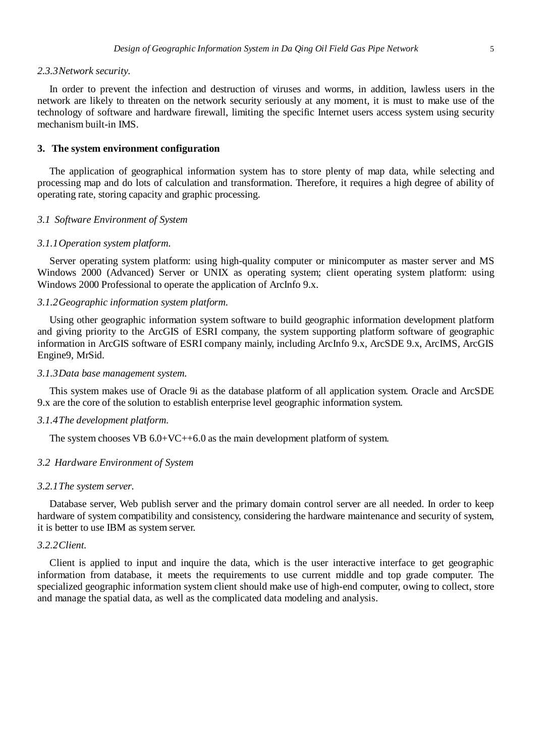#### *2.3.3Network security.*

In order to prevent the infection and destruction of viruses and worms, in addition, lawless users in the network are likely to threaten on the network security seriously at any moment, it is must to make use of the technology of software and hardware firewall, limiting the specific Internet users access system using security mechanism built-in IMS.

# **3. The system environment configuration**

The application of geographical information system has to store plenty of map data, while selecting and processing map and do lots of calculation and transformation. Therefore, it requires a high degree of ability of operating rate, storing capacity and graphic processing.

#### *3.1 Software Environment of System*

#### *3.1.1Operation system platform.*

Server operating system platform: using high-quality computer or minicomputer as master server and MS Windows 2000 (Advanced) Server or UNIX as operating system; client operating system platform: using Windows 2000 Professional to operate the application of ArcInfo 9.x.

# *3.1.2Geographic information system platform.*

Using other geographic information system software to build geographic information development platform and giving priority to the ArcGIS of ESRI company, the system supporting platform software of geographic information in ArcGIS software of ESRI company mainly, including ArcInfo 9.x, ArcSDE 9.x, ArcIMS, ArcGIS Engine9, MrSid.

# *3.1.3Data base management system.*

This system makes use of Oracle 9i as the database platform of all application system. Oracle and ArcSDE 9.x are the core of the solution to establish enterprise level geographic information system.

## *3.1.4The development platform.*

The system chooses VB  $6.0+VC+6.0$  as the main development platform of system.

#### *3.2 Hardware Environment of System*

# *3.2.1The system server.*

Database server, Web publish server and the primary domain control server are all needed. In order to keep hardware of system compatibility and consistency, considering the hardware maintenance and security of system, it is better to use IBM as system server.

# *3.2.2Client.*

Client is applied to input and inquire the data, which is the user interactive interface to get geographic information from database, it meets the requirements to use current middle and top grade computer. The specialized geographic information system client should make use of high-end computer, owing to collect, store and manage the spatial data, as well as the complicated data modeling and analysis.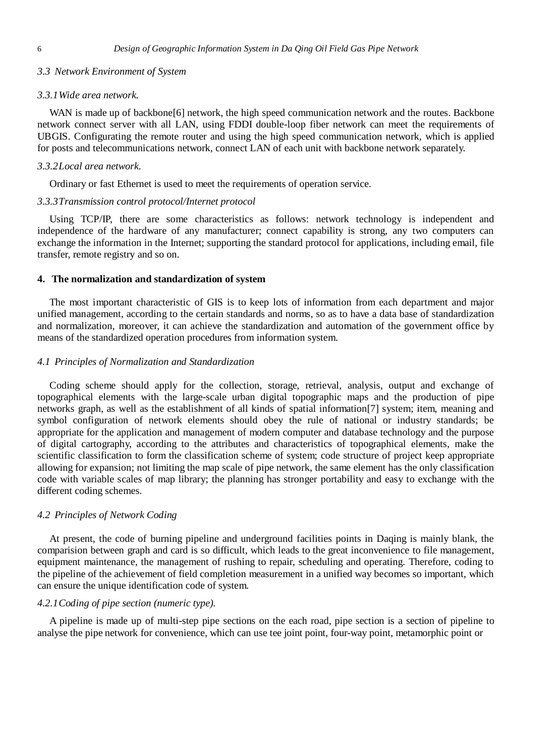# *3.3 Network Environment of System*

#### *3.3.1Wide area network.*

WAN is made up of backbone<sup>[6]</sup> network, the high speed communication network and the routes. Backbone network connect server with all LAN, using FDDI double-loop fiber network can meet the requirements of UBGIS. Configurating the remote router and using the high speed communication network, which is applied for posts and telecommunications network, connect LAN of each unit with backbone network separately.

#### *3.3.2Local area network.*

Ordinary or fast Ethernet is used to meet the requirements of operation service.

#### *3.3.3Transmission control protocol/Internet protocol*

Using TCP/IP, there are some characteristics as follows: network technology is independent and independence of the hardware of any manufacturer; connect capability is strong, any two computers can exchange the information in the Internet; supporting the standard protocol for applications, including email, file transfer, remote registry and so on.

#### **4. The normalization and standardization of system**

The most important characteristic of GIS is to keep lots of information from each department and major unified management, according to the certain standards and norms, so as to have a data base of standardization and normalization, moreover, it can achieve the standardization and automation of the government office by means of the standardized operation procedures from information system.

# *4.1 Principles of Normalization and Standardization*

Coding scheme should apply for the collection, storage, retrieval, analysis, output and exchange of topographical elements with the large-scale urban digital topographic maps and the production of pipe networks graph, as well as the establishment of all kinds of spatial information[7] system; item, meaning and symbol configuration of network elements should obey the rule of national or industry standards; be appropriate for the application and management of modern computer and database technology and the purpose of digital cartography, according to the attributes and characteristics of topographical elements, make the scientific classification to form the classification scheme of system; code structure of project keep appropriate allowing for expansion; not limiting the map scale of pipe network, the same element has the only classification code with variable scales of map library; the planning has stronger portability and easy to exchange with the different coding schemes.

#### *4.2 Principles of Network Coding*

At present, the code of burning pipeline and underground facilities points in Daqing is mainly blank, the comparision between graph and card is so difficult, which leads to the great inconvenience to file management, equipment maintenance, the management of rushing to repair, scheduling and operating. Therefore, coding to the pipeline of the achievement of field completion measurement in a unified way becomes so important, which can ensure the unique identification code of system.

# *4.2.1Coding of pipe section (numeric type).*

A pipeline is made up of multi-step pipe sections on the each road, pipe section is a section of pipeline to analyse the pipe network for convenience, which can use tee joint point, four-way point, metamorphic point or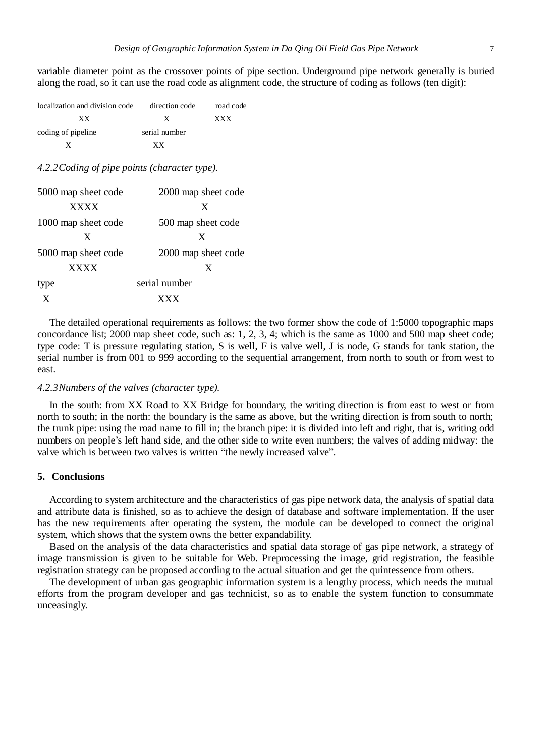variable diameter point as the crossover points of pipe section. Underground pipe network generally is buried along the road, so it can use the road code as alignment code, the structure of coding as follows (ten digit):

| localization and division code | direction code | road code  |
|--------------------------------|----------------|------------|
| xх                             | X              | <b>XXX</b> |
| coding of pipeline             | serial number  |            |
|                                | xх             |            |

*4.2.2Coding of pipe points (character type).*

| 5000 map sheet code | 2000 map sheet code |
|---------------------|---------------------|
| <b>XXXX</b>         | X                   |
| 1000 map sheet code | 500 map sheet code  |
| X                   | X                   |
| 5000 map sheet code | 2000 map sheet code |
| <b>XXXX</b>         | X                   |
| type                | serial number       |
| X                   | <b>YYY</b>          |

The detailed operational requirements as follows: the two former show the code of 1:5000 topographic maps concordance list; 2000 map sheet code, such as: 1, 2, 3, 4; which is the same as 1000 and 500 map sheet code; type code: T is pressure regulating station, S is well, F is valve well, J is node, G stands for tank station, the serial number is from 001 to 999 according to the sequential arrangement, from north to south or from west to east.

# *4.2.3Numbers of the valves (character type).*

In the south: from XX Road to XX Bridge for boundary, the writing direction is from east to west or from north to south; in the north: the boundary is the same as above, but the writing direction is from south to north; the trunk pipe: using the road name to fill in; the branch pipe: it is divided into left and right, that is, writing odd numbers on people's left hand side, and the other side to write even numbers; the valves of adding midway: the valve which is between two valves is written "the newly increased valve".

# **5. Conclusions**

According to system architecture and the characteristics of gas pipe network data, the analysis of spatial data and attribute data is finished, so as to achieve the design of database and software implementation. If the user has the new requirements after operating the system, the module can be developed to connect the original system, which shows that the system owns the better expandability.

Based on the analysis of the data characteristics and spatial data storage of gas pipe network, a strategy of image transmission is given to be suitable for Web. Preprocessing the image, grid registration, the feasible registration strategy can be proposed according to the actual situation and get the quintessence from others.

The development of urban gas geographic information system is a lengthy process, which needs the mutual efforts from the program developer and gas technicist, so as to enable the system function to consummate unceasingly.